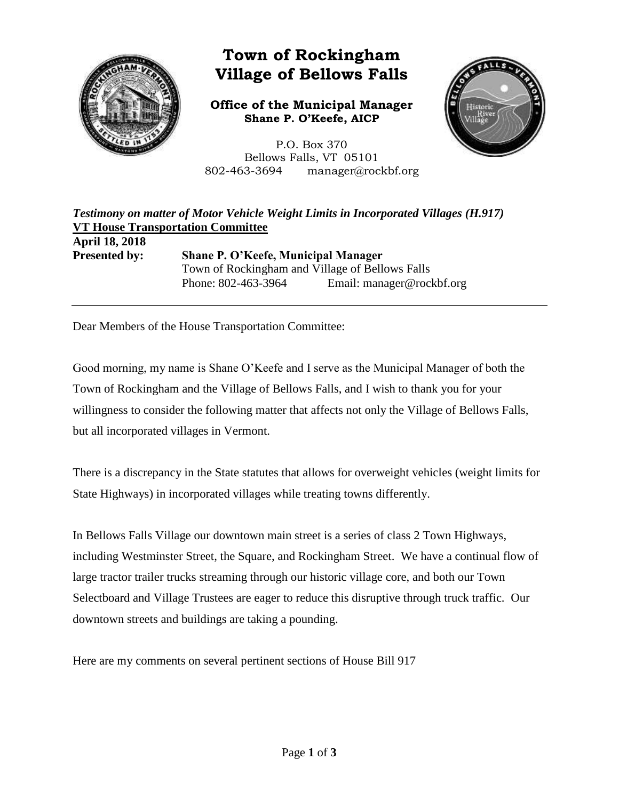

# **Town of Rockingham Village of Bellows Falls**

**Office of the Municipal Manager Shane P. O'Keefe, AICP**

P.O. Box 370 Bellows Falls, VT 05101 802-463-3694 manager@rockbf.org



*Testimony on matter of Motor Vehicle Weight Limits in Incorporated Villages (H.917)* **VT House Transportation Committee April 18, 2018 Presented by: Shane P. O'Keefe, Municipal Manager** Town of Rockingham and Village of Bellows Falls Phone: 802-463-3964 Email: manager@rockbf.org

Dear Members of the House Transportation Committee:

Good morning, my name is Shane O'Keefe and I serve as the Municipal Manager of both the Town of Rockingham and the Village of Bellows Falls, and I wish to thank you for your willingness to consider the following matter that affects not only the Village of Bellows Falls, but all incorporated villages in Vermont.

There is a discrepancy in the State statutes that allows for overweight vehicles (weight limits for State Highways) in incorporated villages while treating towns differently.

In Bellows Falls Village our downtown main street is a series of class 2 Town Highways, including Westminster Street, the Square, and Rockingham Street. We have a continual flow of large tractor trailer trucks streaming through our historic village core, and both our Town Selectboard and Village Trustees are eager to reduce this disruptive through truck traffic. Our downtown streets and buildings are taking a pounding.

Here are my comments on several pertinent sections of House Bill 917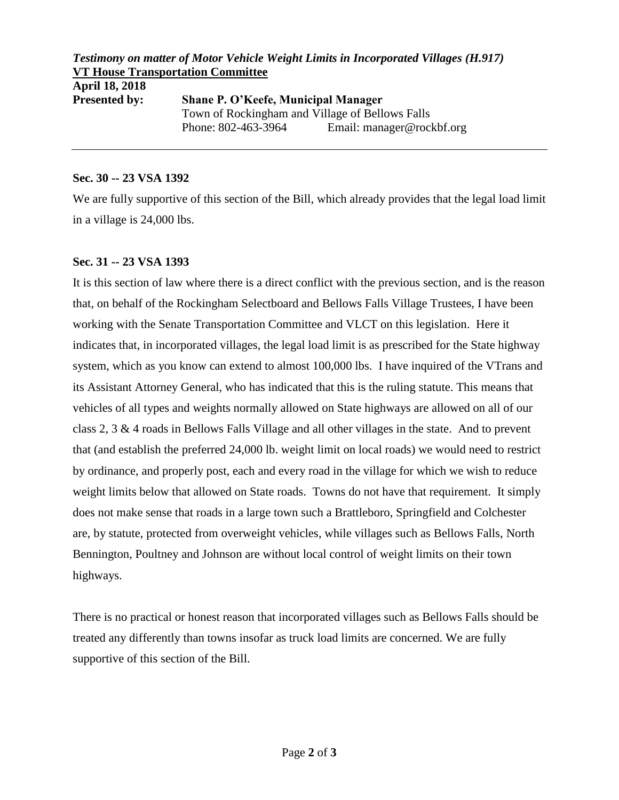# *Testimony on matter of Motor Vehicle Weight Limits in Incorporated Villages (H.917)* **VT House Transportation Committee**

| <b>Shane P. O'Keefe, Municipal Manager</b> |                                                 |
|--------------------------------------------|-------------------------------------------------|
|                                            |                                                 |
| Phone: 802-463-3964                        | Email: manager@rockbf.org                       |
|                                            | Town of Rockingham and Village of Bellows Falls |

#### **Sec. 30 -- 23 VSA 1392**

We are fully supportive of this section of the Bill, which already provides that the legal load limit in a village is 24,000 lbs.

### **Sec. 31 -- 23 VSA 1393**

It is this section of law where there is a direct conflict with the previous section, and is the reason that, on behalf of the Rockingham Selectboard and Bellows Falls Village Trustees, I have been working with the Senate Transportation Committee and VLCT on this legislation. Here it indicates that, in incorporated villages, the legal load limit is as prescribed for the State highway system, which as you know can extend to almost 100,000 lbs. I have inquired of the VTrans and its Assistant Attorney General, who has indicated that this is the ruling statute. This means that vehicles of all types and weights normally allowed on State highways are allowed on all of our class 2, 3 & 4 roads in Bellows Falls Village and all other villages in the state. And to prevent that (and establish the preferred 24,000 lb. weight limit on local roads) we would need to restrict by ordinance, and properly post, each and every road in the village for which we wish to reduce weight limits below that allowed on State roads. Towns do not have that requirement. It simply does not make sense that roads in a large town such a Brattleboro, Springfield and Colchester are, by statute, protected from overweight vehicles, while villages such as Bellows Falls, North Bennington, Poultney and Johnson are without local control of weight limits on their town highways.

There is no practical or honest reason that incorporated villages such as Bellows Falls should be treated any differently than towns insofar as truck load limits are concerned. We are fully supportive of this section of the Bill.